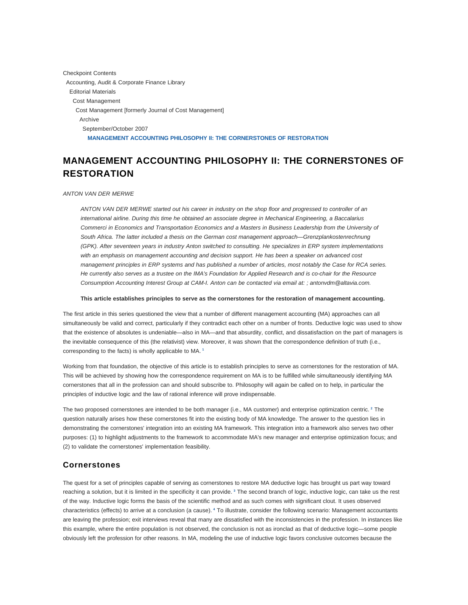Checkpoint Contents Accounting, Audit & Corporate Finance Library Editorial Materials Cost Management Cost Management [formerly Journal of Cost Management] Archive September/October 2007 **MANAGEMENT ACCOUNTING PHILOSOPHY II: THE CORNERSTONES OF RESTORATION**

# **MANAGEMENT ACCOUNTING PHILOSOPHY II: THE CORNERSTONES OF RESTORATION**

#### ANTON VAN DER MERWE

ANTON VAN DER MERWE started out his career in industry on the shop floor and progressed to controller of an international airline. During this time he obtained an associate degree in Mechanical Engineering, a Baccalarius Commerci in Economics and Transportation Economics and a Masters in Business Leadership from the University of South Africa. The latter included a thesis on the German cost management approach—Grenzplankostenrechnung (GPK). After seventeen years in industry Anton switched to consulting. He specializes in ERP system implementations with an emphasis on management accounting and decision support. He has been a speaker on advanced cost management principles in ERP systems and has published a number of articles, most notably the Case for RCA series. He currently also serves as a trustee on the IMA's Foundation for Applied Research and is co-chair for the Resource Consumption Accounting Interest Group at CAM-I. Anton can be contacted via email at: ; antonvdm@altavia.com.

#### **This article establishes principles to serve as the cornerstones for the restoration of management accounting.**

The first article in this series questioned the view that a number of different management accounting (MA) approaches can all simultaneously be valid and correct, particularly if they contradict each other on a number of fronts. Deductive logic was used to show that the existence of absolutes is undeniable—also in MA—and that absurdity, conflict, and dissatisfaction on the part of managers is the inevitable consequence of this (the relativist) view. Moreover, it was shown that the correspondence definition of truth (i.e., corresponding to the facts) is wholly applicable to MA. **<sup>1</sup>**

Working from that foundation, the objective of this article is to establish principles to serve as cornerstones for the restoration of MA. This will be achieved by showing how the correspondence requirement on MA is to be fulfilled while simultaneously identifying MA cornerstones that all in the profession can and should subscribe to. Philosophy will again be called on to help, in particular the principles of inductive logic and the law of rational inference will prove indispensable.

The two proposed cornerstones are intended to be both manager (i.e., MA customer) and enterprise optimization centric. **<sup>2</sup>** The question naturally arises how these cornerstones fit into the existing body of MA knowledge. The answer to the question lies in demonstrating the cornerstones' integration into an existing MA framework. This integration into a framework also serves two other purposes: (1) to highlight adjustments to the framework to accommodate MA's new manager and enterprise optimization focus; and (2) to validate the cornerstones' implementation feasibility.

## **Cornerstones**

The quest for a set of principles capable of serving as cornerstones to restore MA deductive logic has brought us part way toward reaching a solution, but it is limited in the specificity it can provide. **<sup>3</sup>** The second branch of logic, inductive logic, can take us the rest of the way. Inductive logic forms the basis of the scientific method and as such comes with significant clout. It uses observed characteristics (effects) to arrive at a conclusion (a cause). **<sup>4</sup>** To illustrate, consider the following scenario: Management accountants are leaving the profession; exit interviews reveal that many are dissatisfied with the inconsistencies in the profession. In instances like this example, where the entire population is not observed, the conclusion is not as ironclad as that of deductive logic—some people obviously left the profession for other reasons. In MA, modeling the use of inductive logic favors conclusive outcomes because the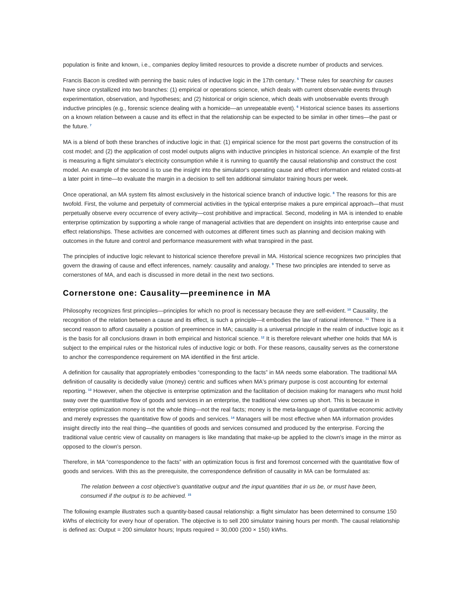population is finite and known, i.e., companies deploy limited resources to provide a discrete number of products and services.

Francis Bacon is credited with penning the basic rules of inductive logic in the 17th century. **<sup>5</sup>** These rules for searching for causes have since crystallized into two branches: (1) empirical or operations science, which deals with current observable events through experimentation, observation, and hypotheses; and (2) historical or origin science, which deals with unobservable events through inductive principles (e.g., forensic science dealing with a homicide—an unrepeatable event). **<sup>6</sup>** Historical science bases its assertions on a known relation between a cause and its effect in that the relationship can be expected to be similar in other times—the past or the future. **<sup>7</sup>**

MA is a blend of both these branches of inductive logic in that: (1) empirical science for the most part governs the construction of its cost model; and (2) the application of cost model outputs aligns with inductive principles in historical science. An example of the first is measuring a flight simulator's electricity consumption while it is running to quantify the causal relationship and construct the cost model. An example of the second is to use the insight into the simulator's operating cause and effect information and related costs-at a later point in time—to evaluate the margin in a decision to sell ten additional simulator training hours per week.

Once operational, an MA system fits almost exclusively in the historical science branch of inductive logic. **<sup>8</sup>** The reasons for this are twofold. First, the volume and perpetuity of commercial activities in the typical enterprise makes a pure empirical approach—that must perpetually observe every occurrence of every activity—cost prohibitive and impractical. Second, modeling in MA is intended to enable enterprise optimization by supporting a whole range of managerial activities that are dependent on insights into enterprise cause and effect relationships. These activities are concerned with outcomes at different times such as planning and decision making with outcomes in the future and control and performance measurement with what transpired in the past.

The principles of inductive logic relevant to historical science therefore prevail in MA. Historical science recognizes two principles that govern the drawing of cause and effect inferences, namely: causality and analogy. **<sup>9</sup>** These two principles are intended to serve as cornerstones of MA, and each is discussed in more detail in the next two sections.

## **Cornerstone one: Causality—preeminence in MA**

Philosophy recognizes first principles—principles for which no proof is necessary because they are self-evident. **<sup>10</sup>** Causality, the recognition of the relation between a cause and its effect, is such a principle—it embodies the law of rational inference. **<sup>11</sup>** There is a second reason to afford causality a position of preeminence in MA; causality is a universal principle in the realm of inductive logic as it is the basis for all conclusions drawn in both empirical and historical science. **<sup>12</sup>** It is therefore relevant whether one holds that MA is subject to the empirical rules or the historical rules of inductive logic or both. For these reasons, causality serves as the cornerstone to anchor the correspondence requirement on MA identified in the first article.

A definition for causality that appropriately embodies "corresponding to the facts" in MA needs some elaboration. The traditional MA definition of causality is decidedly value (money) centric and suffices when MA's primary purpose is cost accounting for external reporting. **<sup>13</sup>** However, when the objective is enterprise optimization and the facilitation of decision making for managers who must hold sway over the quantitative flow of goods and services in an enterprise, the traditional view comes up short. This is because in enterprise optimization money is not the whole thing—not the real facts; money is the meta-language of quantitative economic activity and merely expresses the quantitative flow of goods and services. **<sup>14</sup>** Managers will be most effective when MA information provides insight directly into the real thing—the quantities of goods and services consumed and produced by the enterprise. Forcing the traditional value centric view of causality on managers is like mandating that make-up be applied to the clown's image in the mirror as opposed to the clown's person.

Therefore, in MA "correspondence to the facts" with an optimization focus is first and foremost concerned with the quantitative flow of goods and services. With this as the prerequisite, the correspondence definition of causality in MA can be formulated as:

The relation between a cost objective's quantitative output and the input quantities that in us be, or must have been, consumed if the output is to be achieved. **<sup>15</sup>**

The following example illustrates such a quantity-based causal relationship: a flight simulator has been determined to consume 150 kWhs of electricity for every hour of operation. The objective is to sell 200 simulator training hours per month. The causal relationship is defined as: Output = 200 simulator hours; Inputs required =  $30,000$  (200  $\times$  150) kWhs.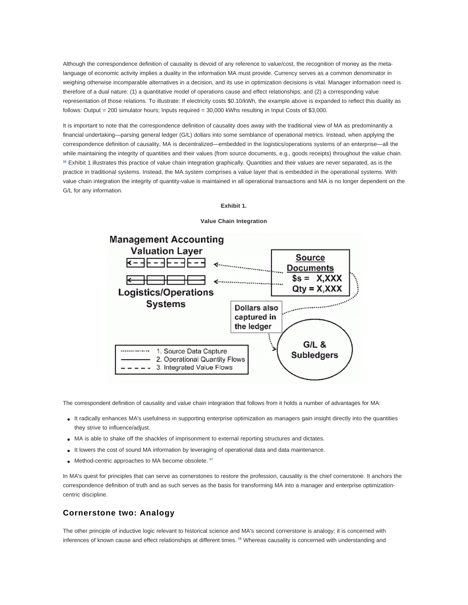Although the correspondence definition of causality is devoid of any reference to value/cost, the recognition of money as the metalanguage of economic activity implies a duality in the information MA must provide. Currency serves as a common denominator in weighing otherwise incomparable alternatives in a decision, and its use in optimization decisions is vital. Manager information need is therefore of a dual nature: (1) a quantitative model of operations cause and effect relationships; and (2) a corresponding value representation of those relations. To illustrate: If electricity costs \$0.10/kWh, the example above is expanded to reflect this duality as follows: Output = 200 simulator hours; Inputs required = 30,000 kWhs resulting in Input Costs of \$3,000.

It is important to note that the correspondence definition of causality does away with the traditional view of MA as predominantly a financial undertaking—parsing general ledger (G/L) dollars into some semblance of operational metrics. Instead, when applying the correspondence definition of causality, MA is decentralized—embedded in the logistics/operations systems of an enterprise—all the while maintaining the integrity of quantities and their values (from source documents, e.g., goods receipts) throughout the value chain. **<sup>16</sup>** Exhibit 1 illustrates this practice of value chain integration graphically. Quantities and their values are never separated, as is the practice in traditional systems. Instead, the MA system comprises a value layer that is embedded in the operational systems. With value chain integration the integrity of quantity-value is maintained in all operational transactions and MA is no longer dependent on the G/L for any information.

#### **Exhibit 1.**



#### **Value Chain Integration**

The correspondent definition of causality and value chain integration that follows from it holds a number of advantages for MA:

- It radically enhances MA's usefulness in supporting enterprise optimization as managers gain insight directly into the quantities they strive to influence/adjust.
- MA is able to shake off the shackles of imprisonment to external reporting structures and dictates.
- It lowers the cost of sound MA information by leveraging of operational data and data maintenance.
- Method-centric approaches to MA become obsolete. **<sup>17</sup>**

In MA's quest for principles that can serve as cornerstones to restore the profession, causality is the chief cornerstone. It anchors the correspondence definition of truth and as such serves as the basis for transforming MA into a manager and enterprise optimizationcentric discipline.

## **Cornerstone two: Analogy**

The other principle of inductive logic relevant to historical science and MA's second cornerstone is analogy; it is concerned with inferences of known cause and effect relationships at different times. **<sup>18</sup>** Whereas causality is concerned with understanding and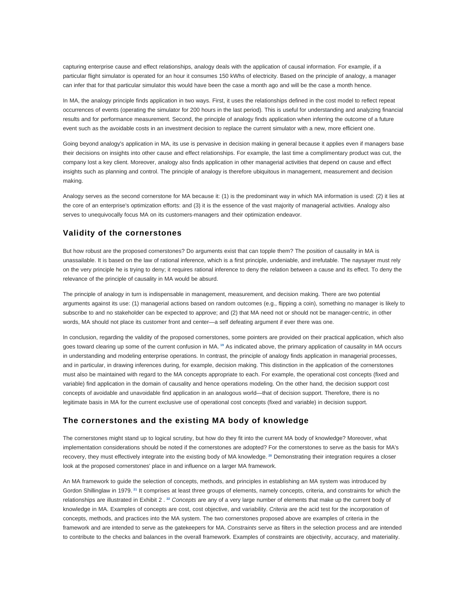capturing enterprise cause and effect relationships, analogy deals with the application of causal information. For example, if a particular flight simulator is operated for an hour it consumes 150 kWhs of electricity. Based on the principle of analogy, a manager can infer that for that particular simulator this would have been the case a month ago and will be the case a month hence.

In MA, the analogy principle finds application in two ways. First, it uses the relationships defined in the cost model to reflect repeat occurrences of events (operating the simulator for 200 hours in the last period). This is useful for understanding and analyzing financial results and for performance measurement. Second, the principle of analogy finds application when inferring the outcome of a future event such as the avoidable costs in an investment decision to replace the current simulator with a new, more efficient one.

Going beyond analogy's application in MA, its use is pervasive in decision making in general because it applies even if managers base their decisions on insights into other cause and effect relationships. For example, the last time a complimentary product was cut, the company lost a key client. Moreover, analogy also finds application in other managerial activities that depend on cause and effect insights such as planning and control. The principle of analogy is therefore ubiquitous in management, measurement and decision making.

Analogy serves as the second cornerstone for MA because it: (1) is the predominant way in which MA information is used: (2) it lies at the core of an enterprise's optimization efforts: and (3) it is the essence of the vast majority of managerial activities. Analogy also serves to unequivocally focus MA on its customers-managers and their optimization endeavor.

# **Validity of the cornerstones**

But how robust are the proposed cornerstones? Do arguments exist that can topple them? The position of causality in MA is unassailable. It is based on the law of rational inference, which is a first principle, undeniable, and irrefutable. The naysayer must rely on the very principle he is trying to deny; it requires rational inference to deny the relation between a cause and its effect. To deny the relevance of the principle of causality in MA would be absurd.

The principle of analogy in turn is indispensable in management, measurement, and decision making. There are two potential arguments against its use: (1) managerial actions based on random outcomes (e.g., flipping a coin), something no manager is likely to subscribe to and no stakeholder can be expected to approve; and (2) that MA need not or should not be manager-centric, in other words, MA should not place its customer front and center—a self defeating argument if ever there was one.

In conclusion, regarding the validity of the proposed cornerstones, some pointers are provided on their practical application, which also goes toward clearing up some of the current confusion in MA. **<sup>19</sup>** As indicated above, the primary application of causality in MA occurs in understanding and modeling enterprise operations. In contrast, the principle of analogy finds application in managerial processes, and in particular, in drawing inferences during, for example, decision making. This distinction in the application of the cornerstones must also be maintained with regard to the MA concepts appropriate to each. For example, the operational cost concepts (fixed and variable) find application in the domain of causality and hence operations modeling. On the other hand, the decision support cost concepts of avoidable and unavoidable find application in an analogous world—that of decision support. Therefore, there is no legitimate basis in MA for the current exclusive use of operational cost concepts (fixed and variable) in decision support.

## **The cornerstones and the existing MA body of knowledge**

The cornerstones might stand up to logical scrutiny, but how do they fit into the current MA body of knowledge? Moreover, what implementation considerations should be noted if the cornerstones are adopted? For the cornerstones to serve as the basis for MA's recovery, they must effectively integrate into the existing body of MA knowledge. **<sup>20</sup>** Demonstrating their integration requires a closer look at the proposed cornerstones' place in and influence on a larger MA framework.

An MA framework to guide the selection of concepts, methods, and principles in establishing an MA system was introduced by Gordon Shillinglaw in 1979. **<sup>21</sup>** It comprises at least three groups of elements, namely concepts, criteria, and constraints for which the relationships are illustrated in Exhibit 2.<sup>22</sup> Concepts are any of a very large number of elements that make up the current body of knowledge in MA. Examples of concepts are cost, cost objective, and variability. Criteria are the acid test for the incorporation of concepts, methods, and practices into the MA system. The two cornerstones proposed above are examples of criteria in the framework and are intended to serve as the gatekeepers for MA. Constraints serve as filters in the selection process and are intended to contribute to the checks and balances in the overall framework. Examples of constraints are objectivity, accuracy, and materiality.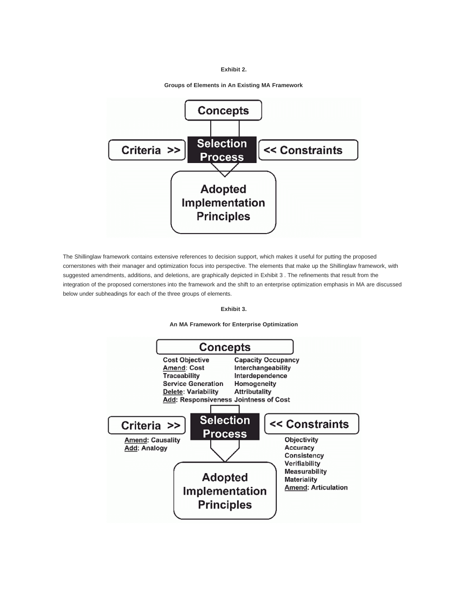### **Exhibit 2.**



**Groups of Elements in An Existing MA Framework**

The Shillinglaw framework contains extensive references to decision support, which makes it useful for putting the proposed cornerstones with their manager and optimization focus into perspective. The elements that make up the Shillinglaw framework, with suggested amendments, additions, and deletions, are graphically depicted in Exhibit 3 . The refinements that result from the integration of the proposed cornerstones into the framework and the shift to an enterprise optimization emphasis in MA are discussed below under subheadings for each of the three groups of elements.

#### **Exhibit 3.**



**An MA Framework for Enterprise Optimization**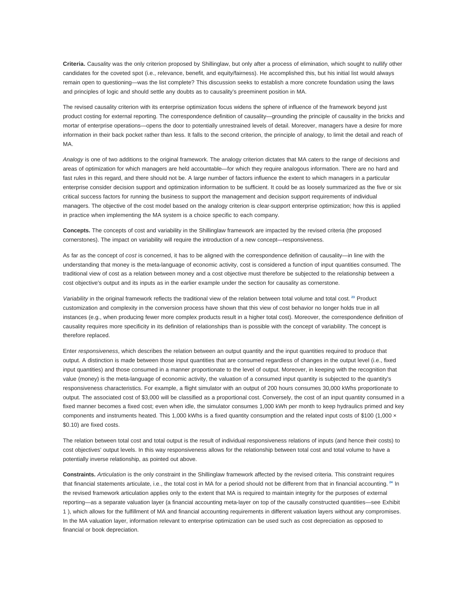**Criteria.** Causality was the only criterion proposed by Shillinglaw, but only after a process of elimination, which sought to nullify other candidates for the coveted spot (i.e., relevance, benefit, and equity/fairness). He accomplished this, but his initial list would always remain open to questioning—was the list complete? This discussion seeks to establish a more concrete foundation using the laws and principles of logic and should settle any doubts as to causality's preeminent position in MA.

The revised causality criterion with its enterprise optimization focus widens the sphere of influence of the framework beyond just product costing for external reporting. The correspondence definition of causality—grounding the principle of causality in the bricks and mortar of enterprise operations—opens the door to potentially unrestrained levels of detail. Moreover, managers have a desire for more information in their back pocket rather than less. It falls to the second criterion, the principle of analogy, to limit the detail and reach of MA.

Analogy is one of two additions to the original framework. The analogy criterion dictates that MA caters to the range of decisions and areas of optimization for which managers are held accountable—for which they require analogous information. There are no hard and fast rules in this regard, and there should not be. A large number of factors influence the extent to which managers in a particular enterprise consider decision support and optimization information to be sufficient. It could be as loosely summarized as the five or six critical success factors for running the business to support the management and decision support requirements of individual managers. The objective of the cost model based on the analogy criterion is clear-support enterprise optimization; how this is applied in practice when implementing the MA system is a choice specific to each company.

**Concepts.** The concepts of cost and variability in the Shillinglaw framework are impacted by the revised criteria (the proposed cornerstones). The impact on variability will require the introduction of a new concept—responsiveness.

As far as the concept of cost is concerned, it has to be aligned with the correspondence definition of causality—in line with the understanding that money is the meta-language of economic activity, cost is considered a function of input quantities consumed. The traditional view of cost as a relation between money and a cost objective must therefore be subjected to the relationship between a cost objective's output and its inputs as in the earlier example under the section for causality as cornerstone.

Variability in the original framework reflects the traditional view of the relation between total volume and total cost. **<sup>23</sup>** Product customization and complexity in the conversion process have shown that this view of cost behavior no longer holds true in all instances (e.g., when producing fewer more complex products result in a higher total cost). Moreover, the correspondence definition of causality requires more specificity in its definition of relationships than is possible with the concept of variability. The concept is therefore replaced.

Enter responsiveness, which describes the relation between an output quantity and the input quantities required to produce that output. A distinction is made between those input quantities that are consumed regardless of changes in the output level (i.e., fixed input quantities) and those consumed in a manner proportionate to the level of output. Moreover, in keeping with the recognition that value (money) is the meta-language of economic activity, the valuation of a consumed input quantity is subjected to the quantity's responsiveness characteristics. For example, a flight simulator with an output of 200 hours consumes 30,000 kWhs proportionate to output. The associated cost of \$3,000 will be classified as a proportional cost. Conversely, the cost of an input quantity consumed in a fixed manner becomes a fixed cost; even when idle, the simulator consumes 1,000 kWh per month to keep hydraulics primed and key components and instruments heated. This 1,000 kWhs is a fixed quantity consumption and the related input costs of \$100 (1,000 × \$0.10) are fixed costs.

The relation between total cost and total output is the result of individual responsiveness relations of inputs (and hence their costs) to cost objectives' output levels. In this way responsiveness allows for the relationship between total cost and total volume to have a potentially inverse relationship, as pointed out above.

**Constraints.** Articulation is the only constraint in the Shillinglaw framework affected by the revised criteria. This constraint requires that financial statements articulate, i.e., the total cost in MA for a period should not be different from that in financial accounting. **<sup>24</sup>** In the revised framework articulation applies only to the extent that MA is required to maintain integrity for the purposes of external reporting—as a separate valuation layer (a financial accounting meta-layer on top of the causally constructed quantities—see Exhibit 1 ), which allows for the fulfillment of MA and financial accounting requirements in different valuation layers without any compromises. In the MA valuation layer, information relevant to enterprise optimization can be used such as cost depreciation as opposed to financial or book depreciation.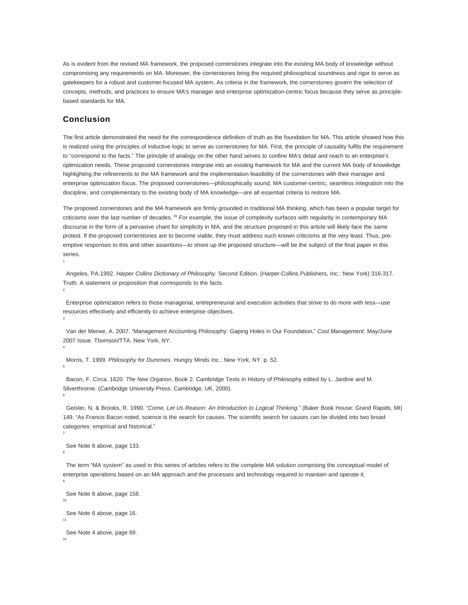As is evident from the revised MA framework, the proposed cornerstones integrate into the existing MA body of knowledge without compromising any requirements on MA. Moreover, the cornerstones bring the required philosophical soundness and rigor to serve as gatekeepers for a robust and customer-focused MA system. As criteria in the framework, the cornerstones govern the selection of concepts, methods, and practices to ensure MA's manager and enterprise optimization-centric focus because they serve as principlebased standards for MA.

## **Conclusion**

**1**

**3**

**4**

**6**

**7**

**8**

**11**

The first article demonstrated the need for the correspondence definition of truth as the foundation for MA. This article showed how this is realized using the principles of inductive logic to serve as cornerstones for MA. First, the principle of causality fulfils the requirement to "correspond to the facts." The principle of analogy on the other hand serves to confine MA's detail and reach to an enterprise's optimization needs. These proposed cornerstones integrate into an existing framework for MA and the current MA body of knowledge highlighting the refinements to the MA framework and the implementation feasibility of the cornerstones with their manager and enterprise optimization focus. The proposed cornerstones—philosophically sound, MA customer-centric, seamless integration into the discipline, and complementary to the existing body of MA knowledge—are all essential criteria to restore MA.

The proposed cornerstones and the MA framework are firmly grounded in traditional MA thinking, which has been a popular target for criticisms over the last number of decades. **<sup>25</sup>** For example, the issue of complexity surfaces with regularity in contemporary MA discourse in the form of a pervasive chant for simplicity in MA, and the structure proposed in this article will likely face the same protest. If the proposed cornerstones are to become viable, they must address such known criticisms at the very least. Thus, preemptive responses to this and other assertions—to shore up the proposed structure—will be the subject of the final paper in this series.

 Angeles, PA.1992. Harper Collins Dictionary of Philosophy. Second Edition. (Harper-Collins Publishers, Inc.: New York) 316-317. Truth: A statement or proposition that corresponds to the facts. **2**

 Enterprise optimization refers to those managerial, entrepreneurial and execution activities that strive to do more with less—use resources effectively and efficiently to achieve enterprise objectives.

 Van der Merwe, A. 2007. "Management Accounting Philosophy: Gaping Holes in Our Foundation," Cost Management. May/June 2007 Issue. Thomson/TTA. New York, NY.

 Morris, T. 1999. Philosophy for Dummies. Hungry Minds Inc.: New York, NY. p. 52. **5**

 Bacon, F. Circa. 1620. The New Organon, Book 2. Cambridge Texts in History of Philosophy edited by L. Jardine and M. Silverthrorne. (Cambridge University Press. Cambridge, UK. 2000).

 Geisler, N. & Brooks, R. 1990. "Come, Let Us Reason: An Introduction to Logical Thinking." (Baker Book House: Grand Rapids, MI) 149. "As Francis Bacon noted, science is the search for causes. The scientific search for causes can be divided into two broad categories: empirical and historical."

See Note 6 above, page 133.

 The term "MA system" as used in this series of articles refers to the complete MA solution comprising the conceptual model of enterprise operations based on an MA approach and the processes and technology required to maintain and operate it. **9**

```
 See Note 6 above, page 158.
10
 See Note 6 above, page 16.
```

```
 See Note 4 above, page 69.
12
```